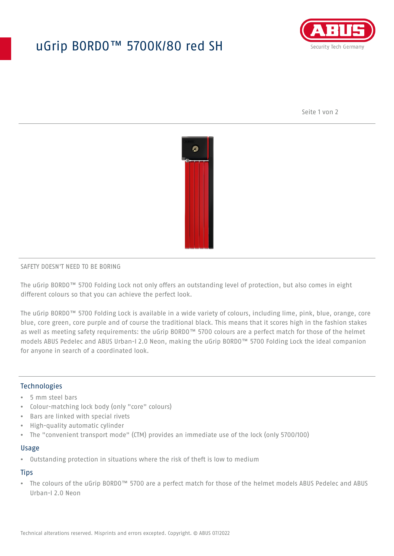# uGrip BORDO™ 5700K/80 red SH



Seite 1 von 2



#### SAFETY DOESN'T NEED TO BE BORING

The uGrip BORDO™ 5700 Folding Lock not only offers an outstanding level of protection, but also comes in eight different colours so that you can achieve the perfect look.

The uGrip BORDO™ 5700 Folding Lock is available in a wide variety of colours, including lime, pink, blue, orange, core blue, core green, core purple and of course the traditional black. This means that it scores high in the fashion stakes as well as meeting safety requirements: the uGrip BORDO™ 5700 colours are a perfect match for those of the helmet models ABUS Pedelec and ABUS Urban-I 2.0 Neon, making the uGrip BORDO™ 5700 Folding Lock the ideal companion for anyone in search of a coordinated look.

## Technologies

- 5 mm steel bars
- Colour-matching lock body (only "core" colours)
- Bars are linked with special rivets
- High-quality automatic cylinder
- The "convenient transport mode" (CTM) provides an immediate use of the lock (only 5700/100)

#### Usage

• Outstanding protection in situations where the risk of theft is low to medium

### **Tips**

• The colours of the uGrip BORDO™ 5700 are a perfect match for those of the helmet models ABUS Pedelec and ABUS Urban-I 2.0 Neon